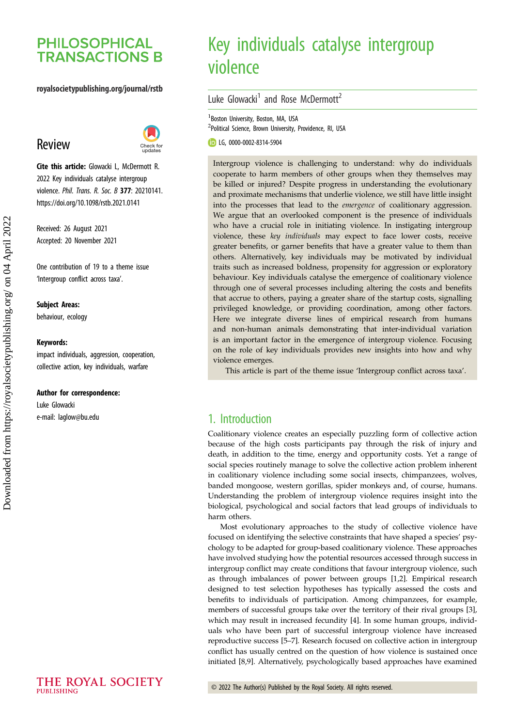# **PHILOSOPHICAL TRANSACTIONS B**

### royalsocietypublishing.org/journal/rstb

# Review



Cite this article: Glowacki L, McDermott R. 2022 Key individuals catalyse intergroup violence. Phil. Trans. R. Soc. B 377: 20210141. https://doi.org/10.1098/rstb.2021.0141

Received: 26 August 2021 Accepted: 20 November 2021

One contribution of 19 to a theme issue '[Intergroup conflict across taxa](http://dx.doi.org/10.1098/rstb/377/1851)'.

#### Subject Areas:

behaviour, ecology

#### Keywords:

impact individuals, aggression, cooperation, collective action, key individuals, warfare

#### Author for correspondence:

Luke Glowacki e-mail: [laglow@bu.edu](mailto:laglow@bu.edu)

# Key individuals catalyse intergroup violence

Luke Glowacki<sup>1</sup> and Rose McDermott<sup>2</sup>

<sup>1</sup> Boston University, Boston, MA, USA <sup>2</sup>Political Science, Brown University, Providence, RI, USA

LG, [0000-0002-8314-5904](http://orcid.org/0000-0002-8314-5904)

Intergroup violence is challenging to understand: why do individuals cooperate to harm members of other groups when they themselves may be killed or injured? Despite progress in understanding the evolutionary and proximate mechanisms that underlie violence, we still have little insight into the processes that lead to the emergence of coalitionary aggression. We argue that an overlooked component is the presence of individuals who have a crucial role in initiating violence. In instigating intergroup violence, these key individuals may expect to face lower costs, receive greater benefits, or garner benefits that have a greater value to them than others. Alternatively, key individuals may be motivated by individual traits such as increased boldness, propensity for aggression or exploratory behaviour. Key individuals catalyse the emergence of coalitionary violence through one of several processes including altering the costs and benefits that accrue to others, paying a greater share of the startup costs, signalling privileged knowledge, or providing coordination, among other factors. Here we integrate diverse lines of empirical research from humans and non-human animals demonstrating that inter-individual variation is an important factor in the emergence of intergroup violence. Focusing on the role of key individuals provides new insights into how and why violence emerges.

This article is part of the theme issue 'Intergroup conflict across taxa'.

### 1. Introduction

Coalitionary violence creates an especially puzzling form of collective action because of the high costs participants pay through the risk of injury and death, in addition to the time, energy and opportunity costs. Yet a range of social species routinely manage to solve the collective action problem inherent in coalitionary violence including some social insects, chimpanzees, wolves, banded mongoose, western gorillas, spider monkeys and, of course, humans. Understanding the problem of intergroup violence requires insight into the biological, psychological and social factors that lead groups of individuals to harm others.

Most evolutionary approaches to the study of collective violence have focused on identifying the selective constraints that have shaped a species' psychology to be adapted for group-based coalitionary violence. These approaches have involved studying how the potential resources accessed through success in intergroup conflict may create conditions that favour intergroup violence, such as through imbalances of power between groups [[1](#page-7-0),[2](#page-7-0)]. Empirical research designed to test selection hypotheses has typically assessed the costs and benefits to individuals of participation. Among chimpanzees, for example, members of successful groups take over the territory of their rival groups [\[3\]](#page-7-0), which may result in increased fecundity [[4](#page-7-0)]. In some human groups, individuals who have been part of successful intergroup violence have increased reproductive success [[5](#page-7-0)–[7\]](#page-7-0). Research focused on collective action in intergroup conflict has usually centred on the question of how violence is sustained once initiated [\[8,9\]](#page-7-0). Alternatively, psychologically based approaches have examined

THE ROYAL SOCIETY PURLISHING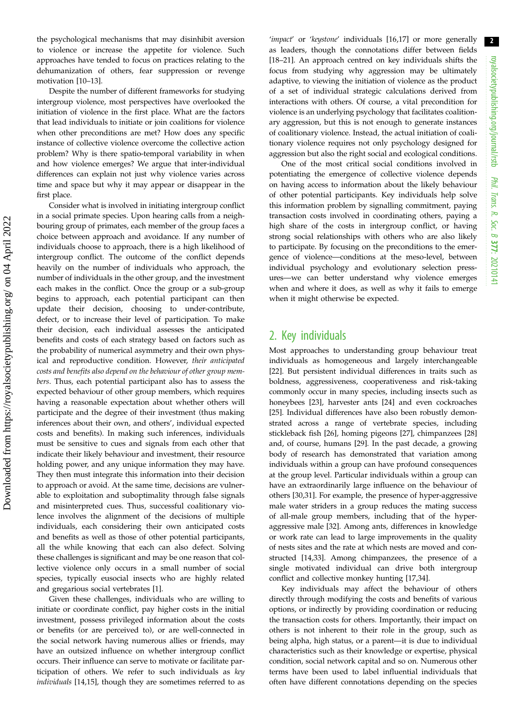the psychological mechanisms that may disinhibit aversion to violence or increase the appetite for violence. Such approaches have tended to focus on practices relating to the dehumanization of others, fear suppression or revenge motivation [\[10](#page-7-0)–[13\]](#page-7-0).

Despite the number of different frameworks for studying intergroup violence, most perspectives have overlooked the initiation of violence in the first place. What are the factors that lead individuals to initiate or join coalitions for violence when other preconditions are met? How does any specific instance of collective violence overcome the collective action problem? Why is there spatio-temporal variability in when and how violence emerges? We argue that inter-individual differences can explain not just why violence varies across time and space but why it may appear or disappear in the first place.

Consider what is involved in initiating intergroup conflict in a social primate species. Upon hearing calls from a neighbouring group of primates, each member of the group faces a choice between approach and avoidance. If any number of individuals choose to approach, there is a high likelihood of intergroup conflict. The outcome of the conflict depends heavily on the number of individuals who approach, the number of individuals in the other group, and the investment each makes in the conflict. Once the group or a sub-group begins to approach, each potential participant can then update their decision, choosing to under-contribute, defect, or to increase their level of participation. To make their decision, each individual assesses the anticipated benefits and costs of each strategy based on factors such as the probability of numerical asymmetry and their own physical and reproductive condition. However, their anticipated costs and benefits also depend on the behaviour of other group members. Thus, each potential participant also has to assess the expected behaviour of other group members, which requires having a reasonable expectation about whether others will participate and the degree of their investment (thus making inferences about their own, and others', individual expected costs and benefits). In making such inferences, individuals must be sensitive to cues and signals from each other that indicate their likely behaviour and investment, their resource holding power, and any unique information they may have. They then must integrate this information into their decision to approach or avoid. At the same time, decisions are vulnerable to exploitation and suboptimality through false signals and misinterpreted cues. Thus, successful coalitionary violence involves the alignment of the decisions of multiple individuals, each considering their own anticipated costs and benefits as well as those of other potential participants, all the while knowing that each can also defect. Solving these challenges is significant and may be one reason that collective violence only occurs in a small number of social species, typically eusocial insects who are highly related and gregarious social vertebrates [[1](#page-7-0)].

Given these challenges, individuals who are willing to initiate or coordinate conflict, pay higher costs in the initial investment, possess privileged information about the costs or benefits (or are perceived to), or are well-connected in the social network having numerous allies or friends, may have an outsized influence on whether intergroup conflict occurs. Their influence can serve to motivate or facilitate participation of others. We refer to such individuals as key individuals [\[14,15](#page-7-0)], though they are sometimes referred to as 'impact' or 'keystone' individuals [[16](#page-7-0),[17\]](#page-7-0) or more generally as leaders, though the connotations differ between fields [[18](#page-7-0)–[21](#page-8-0)]. An approach centred on key individuals shifts the focus from studying why aggression may be ultimately adaptive, to viewing the initiation of violence as the product of a set of individual strategic calculations derived from interactions with others. Of course, a vital precondition for violence is an underlying psychology that facilitates coalitionary aggression, but this is not enough to generate instances of coalitionary violence. Instead, the actual initiation of coalitionary violence requires not only psychology designed for aggression but also the right social and ecological conditions.

One of the most critical social conditions involved in potentiating the emergence of collective violence depends on having access to information about the likely behaviour of other potential participants. Key individuals help solve this information problem by signalling commitment, paying transaction costs involved in coordinating others, paying a high share of the costs in intergroup conflict, or having strong social relationships with others who are also likely to participate. By focusing on the preconditions to the emergence of violence—conditions at the meso-level, between individual psychology and evolutionary selection pressures—we can better understand why violence emerges when and where it does, as well as why it fails to emerge when it might otherwise be expected.

### 2. Key individuals

Most approaches to understanding group behaviour treat individuals as homogeneous and largely interchangeable [[22\]](#page-8-0). But persistent individual differences in traits such as boldness, aggressiveness, cooperativeness and risk-taking commonly occur in many species, including insects such as honeybees [[23\]](#page-8-0), harvester ants [\[24](#page-8-0)] and even cockroaches [[25\]](#page-8-0). Individual differences have also been robustly demonstrated across a range of vertebrate species, including stickleback fish [\[26](#page-8-0)], homing pigeons [\[27](#page-8-0)], chimpanzees [[28\]](#page-8-0) and, of course, humans [\[29](#page-8-0)]. In the past decade, a growing body of research has demonstrated that variation among individuals within a group can have profound consequences at the group level. Particular individuals within a group can have an extraordinarily large influence on the behaviour of others [[30,31](#page-8-0)]. For example, the presence of hyper-aggressive male water striders in a group reduces the mating success of all-male group members, including that of the hyperaggressive male [\[32](#page-8-0)]. Among ants, differences in knowledge or work rate can lead to large improvements in the quality of nests sites and the rate at which nests are moved and constructed [\[14](#page-7-0)[,33](#page-8-0)]. Among chimpanzees, the presence of a single motivated individual can drive both intergroup conflict and collective monkey hunting [[17](#page-7-0)[,34](#page-8-0)].

Key individuals may affect the behaviour of others directly through modifying the costs and benefits of various options, or indirectly by providing coordination or reducing the transaction costs for others. Importantly, their impact on others is not inherent to their role in the group, such as being alpha, high status, or a parent—it is due to individual characteristics such as their knowledge or expertise, physical condition, social network capital and so on. Numerous other terms have been used to label influential individuals that often have different connotations depending on the species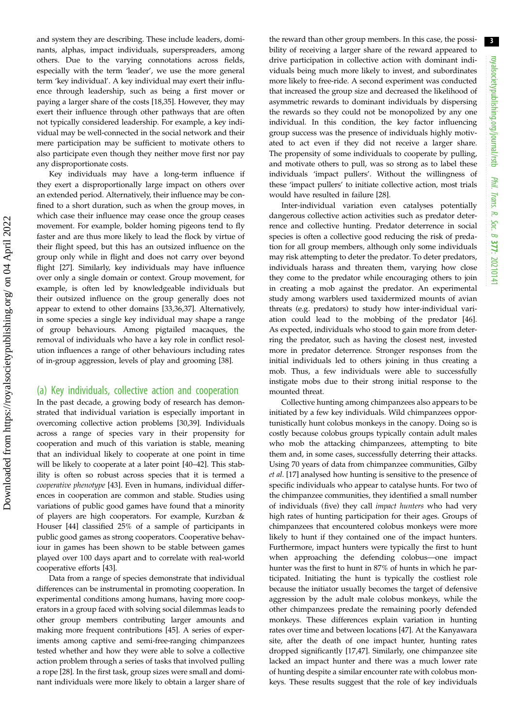and system they are describing. These include leaders, dominants, alphas, impact individuals, superspreaders, among others. Due to the varying connotations across fields, especially with the term 'leader', we use the more general term 'key individual'. A key individual may exert their influence through leadership, such as being a first mover or paying a larger share of the costs [\[18](#page-7-0),[35\]](#page-8-0). However, they may exert their influence through other pathways that are often not typically considered leadership. For example, a key individual may be well-connected in the social network and their mere participation may be sufficient to motivate others to also participate even though they neither move first nor pay any disproportionate costs.

Key individuals may have a long-term influence if they exert a disproportionally large impact on others over an extended period. Alternatively, their influence may be confined to a short duration, such as when the group moves, in which case their influence may cease once the group ceases movement. For example, bolder homing pigeons tend to fly faster and are thus more likely to lead the flock by virtue of their flight speed, but this has an outsized influence on the group only while in flight and does not carry over beyond flight [[27\]](#page-8-0). Similarly, key individuals may have influence over only a single domain or context. Group movement, for example, is often led by knowledgeable individuals but their outsized influence on the group generally does not appear to extend to other domains [[33,36,37](#page-8-0)]. Alternatively, in some species a single key individual may shape a range of group behaviours. Among pigtailed macaques, the removal of individuals who have a key role in conflict resolution influences a range of other behaviours including rates of in-group aggression, levels of play and grooming [\[38](#page-8-0)].

### (a) Key individuals, collective action and cooperation

In the past decade, a growing body of research has demonstrated that individual variation is especially important in overcoming collective action problems [\[30,39](#page-8-0)]. Individuals across a range of species vary in their propensity for cooperation and much of this variation is stable, meaning that an individual likely to cooperate at one point in time will be likely to cooperate at a later point [\[40](#page-8-0)–[42\]](#page-8-0). This stability is often so robust across species that it is termed a cooperative phenotype [[43\]](#page-8-0). Even in humans, individual differences in cooperation are common and stable. Studies using variations of public good games have found that a minority of players are high cooperators. For example, Kurzban & Houser [\[44](#page-8-0)] classified 25% of a sample of participants in public good games as strong cooperators. Cooperative behaviour in games has been shown to be stable between games played over 100 days apart and to correlate with real-world cooperative efforts [[43\]](#page-8-0).

Data from a range of species demonstrate that individual differences can be instrumental in promoting cooperation. In experimental conditions among humans, having more cooperators in a group faced with solving social dilemmas leads to other group members contributing larger amounts and making more frequent contributions [[45\]](#page-8-0). A series of experiments among captive and semi-free-ranging chimpanzees tested whether and how they were able to solve a collective action problem through a series of tasks that involved pulling a rope [[28](#page-8-0)]. In the first task, group sizes were small and dominant individuals were more likely to obtain a larger share of the reward than other group members. In this case, the possibility of receiving a larger share of the reward appeared to drive participation in collective action with dominant individuals being much more likely to invest, and subordinates more likely to free-ride. A second experiment was conducted that increased the group size and decreased the likelihood of asymmetric rewards to dominant individuals by dispersing the rewards so they could not be monopolized by any one individual. In this condition, the key factor influencing group success was the presence of individuals highly motivated to act even if they did not receive a larger share. The propensity of some individuals to cooperate by pulling, and motivate others to pull, was so strong as to label these individuals 'impact pullers'. Without the willingness of these 'impact pullers' to initiate collective action, most trials would have resulted in failure [[28\]](#page-8-0).

Inter-individual variation even catalyses potentially dangerous collective action activities such as predator deterrence and collective hunting. Predator deterrence in social species is often a collective good reducing the risk of predation for all group members, although only some individuals may risk attempting to deter the predator. To deter predators, individuals harass and threaten them, varying how close they come to the predator while encouraging others to join in creating a mob against the predator. An experimental study among warblers used taxidermized mounts of avian threats (e.g. predators) to study how inter-individual variation could lead to the mobbing of the predator [[46\]](#page-8-0). As expected, individuals who stood to gain more from deterring the predator, such as having the closest nest, invested more in predator deterrence. Stronger responses from the initial individuals led to others joining in thus creating a mob. Thus, a few individuals were able to successfully instigate mobs due to their strong initial response to the mounted threat.

Collective hunting among chimpanzees also appears to be initiated by a few key individuals. Wild chimpanzees opportunistically hunt colobus monkeys in the canopy. Doing so is costly because colobus groups typically contain adult males who mob the attacking chimpanzees, attempting to bite them and, in some cases, successfully deterring their attacks. Using 70 years of data from chimpanzee communities, Gilby et al. [\[17](#page-7-0)] analysed how hunting is sensitive to the presence of specific individuals who appear to catalyse hunts. For two of the chimpanzee communities, they identified a small number of individuals (five) they call impact hunters who had very high rates of hunting participation for their ages. Groups of chimpanzees that encountered colobus monkeys were more likely to hunt if they contained one of the impact hunters. Furthermore, impact hunters were typically the first to hunt when approaching the defending colobus—one impact hunter was the first to hunt in 87% of hunts in which he participated. Initiating the hunt is typically the costliest role because the initiator usually becomes the target of defensive aggression by the adult male colobus monkeys, while the other chimpanzees predate the remaining poorly defended monkeys. These differences explain variation in hunting rates over time and between locations [[47\]](#page-8-0). At the Kanyawara site, after the death of one impact hunter, hunting rates dropped significantly [\[17](#page-7-0)[,47](#page-8-0)]. Similarly, one chimpanzee site lacked an impact hunter and there was a much lower rate of hunting despite a similar encounter rate with colobus monkeys. These results suggest that the role of key individuals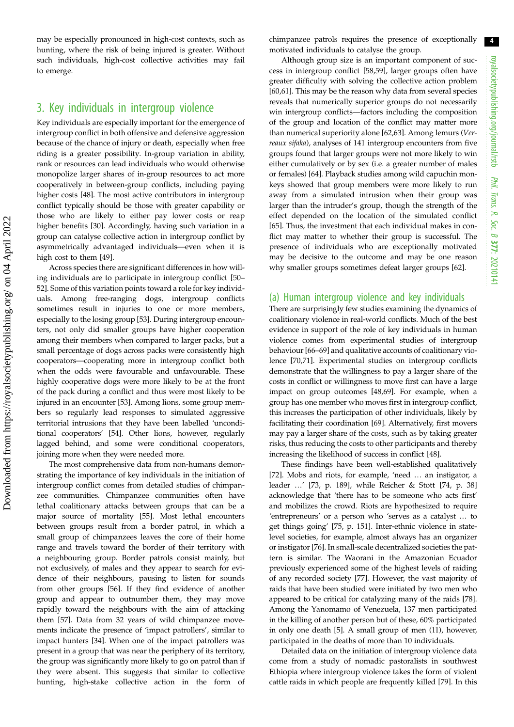may be especially pronounced in high-cost contexts, such as hunting, where the risk of being injured is greater. Without such individuals, high-cost collective activities may fail to emerge.

### 3. Key individuals in intergroup violence

Key individuals are especially important for the emergence of intergroup conflict in both offensive and defensive aggression because of the chance of injury or death, especially when free riding is a greater possibility. In-group variation in ability, rank or resources can lead individuals who would otherwise monopolize larger shares of in-group resources to act more cooperatively in between-group conflicts, including paying higher costs [[48\]](#page-8-0). The most active contributors in intergroup conflict typically should be those with greater capability or those who are likely to either pay lower costs or reap higher benefits [[30\]](#page-8-0). Accordingly, having such variation in a group can catalyse collective action in intergroup conflict by asymmetrically advantaged individuals—even when it is high cost to them [\[49](#page-8-0)].

Across species there are significant differences in how willing individuals are to participate in intergroup conflict [[50](#page-8-0)– [52\]](#page-8-0). Some of this variation points toward a role for key individuals. Among free-ranging dogs, intergroup conflicts sometimes result in injuries to one or more members, especially to the losing group [\[53](#page-8-0)]. During intergroup encounters, not only did smaller groups have higher cooperation among their members when compared to larger packs, but a small percentage of dogs across packs were consistently high cooperators—cooperating more in intergroup conflict both when the odds were favourable and unfavourable. These highly cooperative dogs were more likely to be at the front of the pack during a conflict and thus were most likely to be injured in an encounter [\[53](#page-8-0)]. Among lions, some group members so regularly lead responses to simulated aggressive territorial intrusions that they have been labelled 'unconditional cooperators' [[54\]](#page-8-0). Other lions, however, regularly lagged behind, and some were conditional cooperators, joining more when they were needed more.

The most comprehensive data from non-humans demonstrating the importance of key individuals in the initiation of intergroup conflict comes from detailed studies of chimpanzee communities. Chimpanzee communities often have lethal coalitionary attacks between groups that can be a major source of mortality [[55\]](#page-8-0). Most lethal encounters between groups result from a border patrol, in which a small group of chimpanzees leaves the core of their home range and travels toward the border of their territory with a neighbouring group. Border patrols consist mainly, but not exclusively, of males and they appear to search for evidence of their neighbours, pausing to listen for sounds from other groups [[56\]](#page-8-0). If they find evidence of another group and appear to outnumber them, they may move rapidly toward the neighbours with the aim of attacking them [[57\]](#page-8-0). Data from 32 years of wild chimpanzee movements indicate the presence of 'impact patrollers', similar to impact hunters [[34\]](#page-8-0). When one of the impact patrollers was present in a group that was near the periphery of its territory, the group was significantly more likely to go on patrol than if they were absent. This suggests that similar to collective hunting, high-stake collective action in the form of chimpanzee patrols requires the presence of exceptionally motivated individuals to catalyse the group.

Although group size is an important component of success in intergroup conflict [[58,59\]](#page-8-0), larger groups often have greater difficulty with solving the collective action problem [[60,61\]](#page-8-0). This may be the reason why data from several species reveals that numerically superior groups do not necessarily win intergroup conflicts—factors including the composition of the group and location of the conflict may matter more than numerical superiority alone [[62,63](#page-8-0)]. Among lemurs (Verreaux sifaka), analyses of 141 intergroup encounters from five groups found that larger groups were not more likely to win either cumulatively or by sex (i.e. a greater number of males or females) [\[64](#page-8-0)]. Playback studies among wild capuchin monkeys showed that group members were more likely to run away from a simulated intrusion when their group was larger than the intruder's group, though the strength of the effect depended on the location of the simulated conflict [[65\]](#page-9-0). Thus, the investment that each individual makes in conflict may matter to whether their group is successful. The presence of individuals who are exceptionally motivated may be decisive to the outcome and may be one reason why smaller groups sometimes defeat larger groups [\[62](#page-8-0)].

### (a) Human intergroup violence and key individuals

There are surprisingly few studies examining the dynamics of coalitionary violence in real-world conflicts. Much of the best evidence in support of the role of key individuals in human violence comes from experimental studies of intergroup behaviour [\[66](#page-9-0)–[69\]](#page-9-0) and qualitative accounts of coalitionary violence [\[70](#page-9-0),[71\]](#page-9-0). Experimental studies on intergroup conflicts demonstrate that the willingness to pay a larger share of the costs in conflict or willingness to move first can have a large impact on group outcomes [[48](#page-8-0)[,69](#page-9-0)]. For example, when a group has one member who moves first in intergroup conflict, this increases the participation of other individuals, likely by facilitating their coordination [\[69](#page-9-0)]. Alternatively, first movers may pay a larger share of the costs, such as by taking greater risks, thus reducing the costs to other participants and thereby increasing the likelihood of success in conflict [\[48](#page-8-0)].

These findings have been well-established qualitatively [[72\]](#page-9-0). Mobs and riots, for example, 'need … an instigator, a leader …' [\[73](#page-9-0), p. 189], while Reicher & Stott [\[74](#page-9-0), p. 38] acknowledge that 'there has to be someone who acts first' and mobilizes the crowd. Riots are hypothesized to require 'entrepreneurs' or a person who 'serves as a catalyst … to get things going' [\[75](#page-9-0), p. 151]. Inter-ethnic violence in statelevel societies, for example, almost always has an organizer or instigator [[76\]](#page-9-0). In small-scale decentralized societies the pattern is similar. The Waorani in the Amazonian Ecuador previously experienced some of the highest levels of raiding of any recorded society [[77\]](#page-9-0). However, the vast majority of raids that have been studied were initiated by two men who appeared to be critical for catalyzing many of the raids [[78\]](#page-9-0). Among the Yanomamo of Venezuela, 137 men participated in the killing of another person but of these, 60% participated in only one death [[5](#page-7-0)]. A small group of men (11), however, participated in the deaths of more than 10 individuals.

Detailed data on the initiation of intergroup violence data come from a study of nomadic pastoralists in southwest Ethiopia where intergroup violence takes the form of violent cattle raids in which people are frequently killed [[79\]](#page-9-0). In this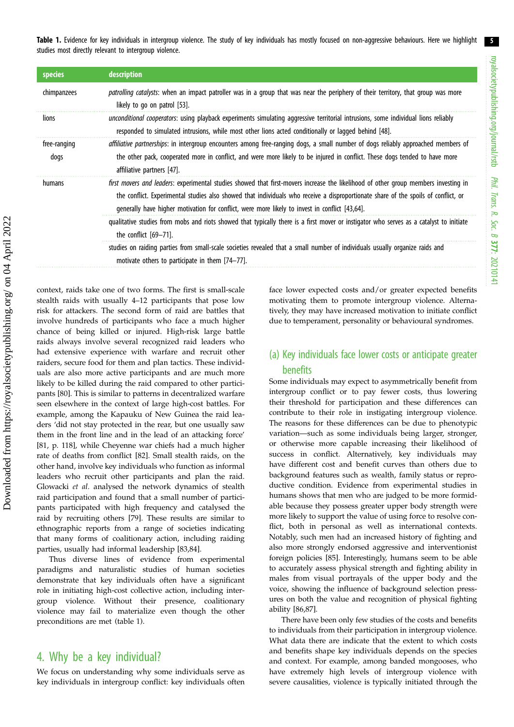Table 1. Evidence for key individuals in intergroup violence. The study of key individuals has mostly focused on non-aggressive behaviours. Here we highlight studies most directly relevant to intergroup violence.

| species              | description                                                                                                                                                                                                                                                                                                                                                                 |
|----------------------|-----------------------------------------------------------------------------------------------------------------------------------------------------------------------------------------------------------------------------------------------------------------------------------------------------------------------------------------------------------------------------|
| chimpanzees          | patrolling catalysts: when an impact patroller was in a group that was near the periphery of their territory, that group was more<br>likely to go on patrol [53].                                                                                                                                                                                                           |
| lions                | unconditional cooperators: using playback experiments simulating aggressive territorial intrusions, some individual lions reliably<br>responded to simulated intrusions, while most other lions acted conditionally or lagged behind [48].                                                                                                                                  |
| free-ranging<br>dogs | affiliative partnerships: in intergroup encounters among free-ranging dogs, a small number of dogs reliably approached members of<br>the other pack, cooperated more in conflict, and were more likely to be injured in conflict. These dogs tended to have more<br>affiliative partners [47].                                                                              |
| humans               | first movers and leaders: experimental studies showed that first-movers increase the likelihood of other group members investing in<br>the conflict. Experimental studies also showed that individuals who receive a disproportionate share of the spoils of conflict, or<br>generally have higher motivation for conflict, were more likely to invest in conflict [43,64]. |
|                      | qualitative studies from mobs and riots showed that typically there is a first mover or instigator who serves as a catalyst to initiate<br>the conflict $[69-71]$ .                                                                                                                                                                                                         |
|                      | studies on raiding parties from small-scale societies revealed that a small number of individuals usually organize raids and<br>motivate others to participate in them [74-77].                                                                                                                                                                                             |

context, raids take one of two forms. The first is small-scale stealth raids with usually 4–12 participants that pose low risk for attackers. The second form of raid are battles that involve hundreds of participants who face a much higher chance of being killed or injured. High-risk large battle raids always involve several recognized raid leaders who had extensive experience with warfare and recruit other raiders, secure food for them and plan tactics. These individuals are also more active participants and are much more likely to be killed during the raid compared to other participants [\[80](#page-9-0)]. This is similar to patterns in decentralized warfare seen elsewhere in the context of large high-cost battles. For example, among the Kapauku of New Guinea the raid leaders 'did not stay protected in the rear, but one usually saw them in the front line and in the lead of an attacking force' [\[81](#page-9-0), p. 118], while Cheyenne war chiefs had a much higher rate of deaths from conflict [[82\]](#page-9-0). Small stealth raids, on the other hand, involve key individuals who function as informal leaders who recruit other participants and plan the raid. Glowacki et al. analysed the network dynamics of stealth raid participation and found that a small number of participants participated with high frequency and catalysed the raid by recruiting others [[79\]](#page-9-0). These results are similar to ethnographic reports from a range of societies indicating that many forms of coalitionary action, including raiding parties, usually had informal leadership [\[83](#page-9-0),[84\]](#page-9-0).

Thus diverse lines of evidence from experimental paradigms and naturalistic studies of human societies demonstrate that key individuals often have a significant role in initiating high-cost collective action, including intergroup violence. Without their presence, coalitionary violence may fail to materialize even though the other preconditions are met (table 1).

### 4. Why be a key individual?

We focus on understanding why some individuals serve as key individuals in intergroup conflict: key individuals often face lower expected costs and/or greater expected benefits motivating them to promote intergroup violence. Alternatively, they may have increased motivation to initiate conflict due to temperament, personality or behavioural syndromes.

### (a) Key individuals face lower costs or anticipate greater benefits

Some individuals may expect to asymmetrically benefit from intergroup conflict or to pay fewer costs, thus lowering their threshold for participation and these differences can contribute to their role in instigating intergroup violence. The reasons for these differences can be due to phenotypic variation—such as some individuals being larger, stronger, or otherwise more capable increasing their likelihood of success in conflict. Alternatively, key individuals may have different cost and benefit curves than others due to background features such as wealth, family status or reproductive condition. Evidence from experimental studies in humans shows that men who are judged to be more formidable because they possess greater upper body strength were more likely to support the value of using force to resolve conflict, both in personal as well as international contexts. Notably, such men had an increased history of fighting and also more strongly endorsed aggressive and interventionist foreign policies [\[85](#page-9-0)]. Interestingly, humans seem to be able to accurately assess physical strength and fighting ability in males from visual portrayals of the upper body and the voice, showing the influence of background selection pressures on both the value and recognition of physical fighting ability [[86,87\]](#page-9-0).

There have been only few studies of the costs and benefits to individuals from their participation in intergroup violence. What data there are indicate that the extent to which costs and benefits shape key individuals depends on the species and context. For example, among banded mongooses, who have extremely high levels of intergroup violence with severe causalities, violence is typically initiated through the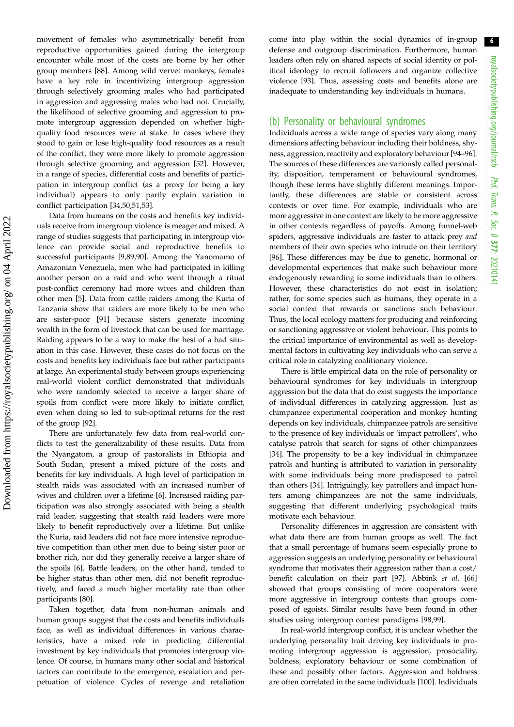movement of females who asymmetrically benefit from reproductive opportunities gained during the intergroup encounter while most of the costs are borne by her other group members [\[88](#page-9-0)]. Among wild vervet monkeys, females have a key role in incentivizing intergroup aggression through selectively grooming males who had participated in aggression and aggressing males who had not. Crucially, the likelihood of selective grooming and aggression to promote intergroup aggression depended on whether highquality food resources were at stake. In cases where they stood to gain or lose high-quality food resources as a result of the conflict, they were more likely to promote aggression through selective grooming and aggression [\[52](#page-8-0)]. However, in a range of species, differential costs and benefits of participation in intergroup conflict (as a proxy for being a key individual) appears to only partly explain variation in conflict participation [\[34](#page-8-0),[50,51,53](#page-8-0)].

Data from humans on the costs and benefits key individuals receive from intergroup violence is meager and mixed. A range of studies suggests that participating in intergroup violence can provide social and reproductive benefits to successful participants [[9](#page-7-0),[89,90\]](#page-9-0). Among the Yanomamo of Amazonian Venezuela, men who had participated in killing another person on a raid and who went through a ritual post-conflict ceremony had more wives and children than other men [\[5\]](#page-7-0). Data from cattle raiders among the Kuria of Tanzania show that raiders are more likely to be men who are sister-poor [[91\]](#page-9-0) because sisters generate incoming wealth in the form of livestock that can be used for marriage. Raiding appears to be a way to make the best of a bad situation in this case. However, these cases do not focus on the costs and benefits key individuals face but rather participants at large. An experimental study between groups experiencing real-world violent conflict demonstrated that individuals who were randomly selected to receive a larger share of spoils from conflict were more likely to initiate conflict, even when doing so led to sub-optimal returns for the rest of the group [\[92](#page-9-0)].

There are unfortunately few data from real-world conflicts to test the generalizability of these results. Data from the Nyangatom, a group of pastoralists in Ethiopia and South Sudan, present a mixed picture of the costs and benefits for key individuals. A high level of participation in stealth raids was associated with an increased number of wives and children over a lifetime [\[6\]](#page-7-0). Increased raiding participation was also strongly associated with being a stealth raid leader, suggesting that stealth raid leaders were more likely to benefit reproductively over a lifetime. But unlike the Kuria, raid leaders did not face more intensive reproductive competition than other men due to being sister poor or brother rich, nor did they generally receive a larger share of the spoils [\[6](#page-7-0)]. Battle leaders, on the other hand, tended to be higher status than other men, did not benefit reproductively, and faced a much higher mortality rate than other participants [\[80](#page-9-0)].

Taken together, data from non-human animals and human groups suggest that the costs and benefits individuals face, as well as individual differences in various characteristics, have a mixed role in predicting differential investment by key individuals that promotes intergroup violence. Of course, in humans many other social and historical factors can contribute to the emergence, escalation and perpetuation of violence. Cycles of revenge and retaliation come into play within the social dynamics of in-group defense and outgroup discrimination. Furthermore, human leaders often rely on shared aspects of social identity or political ideology to recruit followers and organize collective violence [[93\]](#page-9-0). Thus, assessing costs and benefits alone are inadequate to understanding key individuals in humans.

### (b) Personality or behavioural syndromes

Individuals across a wide range of species vary along many dimensions affecting behaviour including their boldness, shyness, aggression, reactivity and exploratory behaviour [\[94](#page-9-0)–[96\]](#page-9-0). The sources of these differences are variously called personality, disposition, temperament or behavioural syndromes, though these terms have slightly different meanings. Importantly, these differences are stable or consistent across contexts or over time. For example, individuals who are more aggressive in one context are likely to be more aggressive in other contexts regardless of payoffs. Among funnel-web spiders, aggressive individuals are faster to attack prey and members of their own species who intrude on their territory [[96\]](#page-9-0). These differences may be due to genetic, hormonal or developmental experiences that make such behaviour more endogenously rewarding to some individuals than to others. However, these characteristics do not exist in isolation; rather, for some species such as humans, they operate in a social context that rewards or sanctions such behaviour. Thus, the local ecology matters for producing and reinforcing or sanctioning aggressive or violent behaviour. This points to the critical importance of environmental as well as developmental factors in cultivating key individuals who can serve a critical role in catalyzing coalitionary violence.

There is little empirical data on the role of personality or behavioural syndromes for key individuals in intergroup aggression but the data that do exist suggests the importance of individual differences in catalyzing aggression. Just as chimpanzee experimental cooperation and monkey hunting depends on key individuals, chimpanzee patrols are sensitive to the presence of key individuals or 'impact patrollers', who catalyse patrols that search for signs of other chimpanzees [[34\]](#page-8-0). The propensity to be a key individual in chimpanzee patrols and hunting is attributed to variation in personality with some individuals being more predisposed to patrol than others [\[34](#page-8-0)]. Intriguingly, key patrollers and impact hunters among chimpanzees are not the same individuals, suggesting that different underlying psychological traits motivate each behaviour.

Personality differences in aggression are consistent with what data there are from human groups as well. The fact that a small percentage of humans seem especially prone to aggression suggests an underlying personality or behavioural syndrome that motivates their aggression rather than a cost/ benefit calculation on their part [\[97](#page-9-0)]. Abbink et al. [[66\]](#page-9-0) showed that groups consisting of more cooperators were more aggressive in intergroup contests than groups composed of egoists. Similar results have been found in other studies using intergroup contest paradigms [[98,99](#page-9-0)].

In real-world intergroup conflict, it is unclear whether the underlying personality trait driving key individuals in promoting intergroup aggression is aggression, prosociality, boldness, exploratory behaviour or some combination of these and possibly other factors. Aggression and boldness are often correlated in the same individuals [[100](#page-9-0)]. Individuals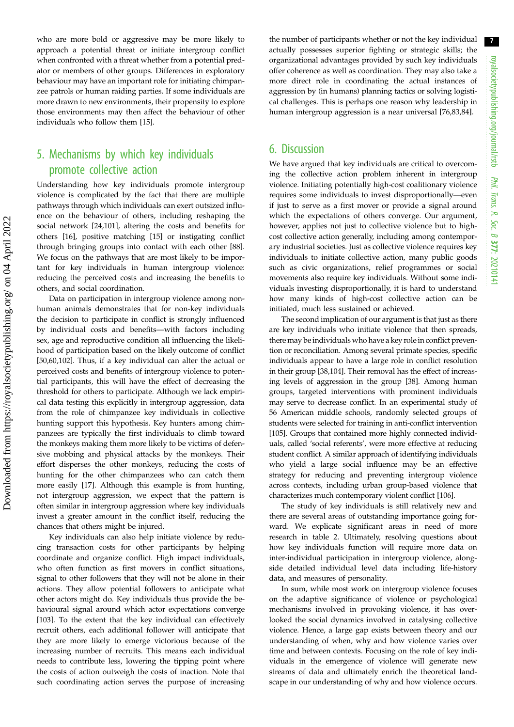who are more bold or aggressive may be more likely to approach a potential threat or initiate intergroup conflict when confronted with a threat whether from a potential predator or members of other groups. Differences in exploratory behaviour may have an important role for initiating chimpanzee patrols or human raiding parties. If some individuals are more drawn to new environments, their propensity to explore those environments may then affect the behaviour of other individuals who follow them [[15\]](#page-7-0).

## 5. Mechanisms by which key individuals promote collective action

Understanding how key individuals promote intergroup violence is complicated by the fact that there are multiple pathways through which individuals can exert outsized influence on the behaviour of others, including reshaping the social network [\[24](#page-8-0)[,101\]](#page-9-0), altering the costs and benefits for others [\[16](#page-7-0)], positive matching [[15\]](#page-7-0) or instigating conflict through bringing groups into contact with each other [\[88](#page-9-0)]. We focus on the pathways that are most likely to be important for key individuals in human intergroup violence: reducing the perceived costs and increasing the benefits to others, and social coordination.

Data on participation in intergroup violence among nonhuman animals demonstrates that for non-key individuals the decision to participate in conflict is strongly influenced by individual costs and benefits—with factors including sex, age and reproductive condition all influencing the likelihood of participation based on the likely outcome of conflict [\[50](#page-8-0),[60,](#page-8-0)[102](#page-9-0)]. Thus, if a key individual can alter the actual or perceived costs and benefits of intergroup violence to potential participants, this will have the effect of decreasing the threshold for others to participate. Although we lack empirical data testing this explicitly in intergroup aggression, data from the role of chimpanzee key individuals in collective hunting support this hypothesis. Key hunters among chimpanzees are typically the first individuals to climb toward the monkeys making them more likely to be victims of defensive mobbing and physical attacks by the monkeys. Their effort disperses the other monkeys, reducing the costs of hunting for the other chimpanzees who can catch them more easily [\[17](#page-7-0)]. Although this example is from hunting, not intergroup aggression, we expect that the pattern is often similar in intergroup aggression where key individuals invest a greater amount in the conflict itself, reducing the chances that others might be injured.

Key individuals can also help initiate violence by reducing transaction costs for other participants by helping coordinate and organize conflict. High impact individuals, who often function as first movers in conflict situations, signal to other followers that they will not be alone in their actions. They allow potential followers to anticipate what other actors might do. Key individuals thus provide the behavioural signal around which actor expectations converge [\[103\]](#page-9-0). To the extent that the key individual can effectively recruit others, each additional follower will anticipate that they are more likely to emerge victorious because of the increasing number of recruits. This means each individual needs to contribute less, lowering the tipping point where the costs of action outweigh the costs of inaction. Note that such coordinating action serves the purpose of increasing the number of participants whether or not the key individual actually possesses superior fighting or strategic skills; the organizational advantages provided by such key individuals offer coherence as well as coordination. They may also take a more direct role in coordinating the actual instances of aggression by (in humans) planning tactics or solving logistical challenges. This is perhaps one reason why leadership in human intergroup aggression is a near universal [\[76,83](#page-9-0),[84\]](#page-9-0).

### 6. Discussion

We have argued that key individuals are critical to overcoming the collective action problem inherent in intergroup violence. Initiating potentially high-cost coalitionary violence requires some individuals to invest disproportionally—even if just to serve as a first mover or provide a signal around which the expectations of others converge. Our argument, however, applies not just to collective violence but to highcost collective action generally, including among contemporary industrial societies. Just as collective violence requires key individuals to initiate collective action, many public goods such as civic organizations, relief programmes or social movements also require key individuals. Without some individuals investing disproportionally, it is hard to understand how many kinds of high-cost collective action can be initiated, much less sustained or achieved.

The second implication of our argument is that just as there are key individuals who initiate violence that then spreads, there may be individuals who have a key role in conflict prevention or reconciliation. Among several primate species, specific individuals appear to have a large role in conflict resolution in their group [[38](#page-8-0)[,104](#page-9-0)]. Their removal has the effect of increasing levels of aggression in the group [[38](#page-8-0)]. Among human groups, targeted interventions with prominent individuals may serve to decrease conflict. In an experimental study of 56 American middle schools, randomly selected groups of students were selected for training in anti-conflict intervention [[105](#page-9-0)]. Groups that contained more highly connected individuals, called 'social referents', were more effective at reducing student conflict. A similar approach of identifying individuals who yield a large social influence may be an effective strategy for reducing and preventing intergroup violence across contexts, including urban group-based violence that characterizes much contemporary violent conflict [\[106\]](#page-9-0).

The study of key individuals is still relatively new and there are several areas of outstanding importance going forward. We explicate significant areas in need of more research in [table 2.](#page-7-0) Ultimately, resolving questions about how key individuals function will require more data on inter-individual participation in intergroup violence, alongside detailed individual level data including life-history data, and measures of personality.

In sum, while most work on intergroup violence focuses on the adaptive significance of violence or psychological mechanisms involved in provoking violence, it has overlooked the social dynamics involved in catalysing collective violence. Hence, a large gap exists between theory and our understanding of when, why and how violence varies over time and between contexts. Focusing on the role of key individuals in the emergence of violence will generate new streams of data and ultimately enrich the theoretical landscape in our understanding of why and how violence occurs.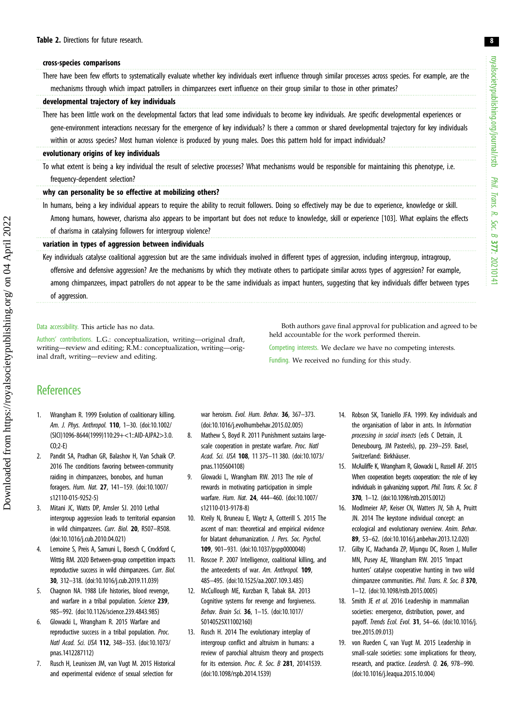#### <span id="page-7-0"></span>cross-species comparisons

There have been few efforts to systematically evaluate whether key individuals exert influence through similar processes across species. For example, are the mechanisms through which impact patrollers in chimpanzees exert influence on their group similar to those in other primates?

#### developmental trajectory of key individuals

There has been little work on the developmental factors that lead some individuals to become key individuals. Are specific developmental experiences or gene-environment interactions necessary for the emergence of key individuals? Is there a common or shared developmental trajectory for key individuals within or across species? Most human violence is produced by young males. Does this pattern hold for impact individuals?

#### evolutionary origins of key individuals

To what extent is being a key individual the result of selective processes? What mechanisms would be responsible for maintaining this phenotype, i.e. frequency-dependent selection?

### why can personality be so effective at mobilizing others?

In humans, being a key individual appears to require the ability to recruit followers. Doing so effectively may be due to experience, knowledge or skill. Among humans, however, charisma also appears to be important but does not reduce to knowledge, skill or experience [103]. What explains the effects of charisma in catalysing followers for intergroup violence?

#### variation in types of aggression between individuals

Key individuals catalyse coalitional aggression but are the same individuals involved in different types of aggression, including intergroup, intragroup, offensive and defensive aggression? Are the mechanisms by which they motivate others to participate similar across types of aggression? For example, among chimpanzees, impact patrollers do not appear to be the same individuals as impact hunters, suggesting that key individuals differ between types of aggression.

#### Data accessibility. This article has no data.

Authors' contributions. L.G.: conceptualization, writing—original draft, writing—review and editing; R.M.: conceptualization, writing—original draft, writing—review and editing.

Both authors gave final approval for publication and agreed to be held accountable for the work performed therein.

Competing interests. We declare we have no competing interests. Funding. We received no funding for this study.

### **References**

- 1. Wrangham R. 1999 Evolution of coalitionary killing. Am. J. Phys. Anthropol. 110, 1–30. [\(doi:10.1002/](http://dx.doi.org/10.1002/(SICI)1096-8644(1999)110:29+%3C1::AID-AJPA2%3E3.0.CO;2-E) [\(SICI\)1096-8644\(1999\)110:29+<1::AID-AJPA2>3.0.](http://dx.doi.org/10.1002/(SICI)1096-8644(1999)110:29+%3C1::AID-AJPA2%3E3.0.CO;2-E) [CO;2-E\)](http://dx.doi.org/10.1002/(SICI)1096-8644(1999)110:29+%3C1::AID-AJPA2%3E3.0.CO;2-E)
- 2. Pandit SA, Pradhan GR, Balashov H, Van Schaik CP. 2016 The conditions favoring between-community raiding in chimpanzees, bonobos, and human foragers. Hum. Nat. 27, 141–159. [\(doi:10.1007/](http://dx.doi.org/10.1007/s12110-015-9252-5) [s12110-015-9252-5\)](http://dx.doi.org/10.1007/s12110-015-9252-5)
- 3. Mitani JC, Watts DP, Amsler SJ. 2010 Lethal intergroup aggression leads to territorial expansion in wild chimpanzees. Curr. Biol. 20, R507–R508. [\(doi:10.1016/j.cub.2010.04.021](http://dx.doi.org/10.1016/j.cub.2010.04.021))
- 4. Lemoine S, Preis A, Samuni L, Boesch C, Crockford C, Wittig RM. 2020 Between-group competition impacts reproductive success in wild chimpanzees. Curr. Biol. 30, 312–318. ([doi:10.1016/j.cub.2019.11.039](http://dx.doi.org/10.1016/j.cub.2019.11.039))
- 5. Chagnon NA. 1988 Life histories, blood revenge, and warfare in a tribal population. Science 239, 985–992. ([doi:10.1126/science.239.4843.985](http://dx.doi.org/10.1126/science.239.4843.985))
- 6. Glowacki L, Wrangham R. 2015 Warfare and reproductive success in a tribal population. Proc. Natl Acad. Sci. USA 112, 348–353. ([doi:10.1073/](https://doi.org/10.1073/pnas.1412287112) [pnas.1412287112](https://doi.org/10.1073/pnas.1412287112))
- 7. Rusch H, Leunissen JM, van Vugt M. 2015 Historical and experimental evidence of sexual selection for

war heroism. Evol. Hum. Behav. 36, 367-373. [\(doi:10.1016/j.evolhumbehav.2015.02.005\)](http://dx.doi.org/10.1016/j.evolhumbehav.2015.02.005)

- 8. Mathew S, Boyd R. 2011 Punishment sustains largescale cooperation in prestate warfare. Proc. Natl Acad. Sci. USA 108, 11 375–11 380. ([doi:10.1073/](http://dx.doi.org/10.1073/pnas.1105604108) [pnas.1105604108](http://dx.doi.org/10.1073/pnas.1105604108))
- 9. Glowacki L, Wrangham RW. 2013 The role of rewards in motivating participation in simple warfare. Hum. Nat. 24, 444–460. [\(doi:10.1007/](http://dx.doi.org/10.1007/s12110-013-9178-8) [s12110-013-9178-8\)](http://dx.doi.org/10.1007/s12110-013-9178-8)
- 10. Kteily N, Bruneau E, Waytz A, Cotterill S. 2015 The ascent of man: theoretical and empirical evidence for blatant dehumanization. J. Pers. Soc. Psychol. 109, 901–931. ([doi:10.1037/pspp0000048\)](http://dx.doi.org/10.1037/pspp0000048)
- 11. Roscoe P. 2007 Intelligence, coalitional killing, and the antecedents of war. Am. Anthropol. 109, 485–495. ([doi:10.1525/aa.2007.109.3.485](http://dx.doi.org/10.1525/aa.2007.109.3.485))
- 12. McCullough ME, Kurzban R, Tabak BA. 2013 Cognitive systems for revenge and forgiveness. Behav. Brain Sci. 36, 1–15. ([doi:10.1017/](http://dx.doi.org/10.1017/S0140525X11002160) [S0140525X11002160](http://dx.doi.org/10.1017/S0140525X11002160))
- 13. Rusch H. 2014 The evolutionary interplay of intergroup conflict and altruism in humans: a review of parochial altruism theory and prospects for its extension. Proc. R. Soc. B 281, 20141539. [\(doi:10.1098/rspb.2014.1539\)](http://dx.doi.org/10.1098/rspb.2014.1539)
- 14. Robson SK, Traniello JFA. 1999. Key individuals and the organisation of labor in ants. In Information processing in social insects (eds C Detrain, JL Deneubourg, JM Pasteels), pp. 239–259. Basel, Switzerland: Birkhäuser.
- 15. McAuliffe K, Wrangham R, Glowacki L, Russell AF. 2015 When cooperation begets cooperation: the role of key individuals in galvanizing support. Phil. Trans. R. Soc. B 370, 1–12. [\(doi:10.1098/rstb.2015.0012\)](http://dx.doi.org/10.1098/rstb.2015.0012)
- 16. Modlmeier AP, Keiser CN, Watters JV, Sih A, Pruitt JN. 2014 The keystone individual concept: an ecological and evolutionary overview. Anim. Behav. 89, 53–62. ([doi:10.1016/j.anbehav.2013.12.020](http://dx.doi.org/10.1016/j.anbehav.2013.12.020))
- 17. Gilby IC, Machanda ZP, Mjungu DC, Rosen J, Muller MN, Pusey AE, Wrangham RW. 2015 'Impact hunters' catalyse cooperative hunting in two wild chimpanzee communities. Phil. Trans. R. Soc. B 370, 1–12. [\(doi:10.1098/rstb.2015.0005](http://dx.doi.org/10.1098/rstb.2015.0005))
- 18. Smith JE et al. 2016 Leadership in mammalian societies: emergence, distribution, power, and payoff. Trends Ecol. Evol. 31, 54–66. ([doi:10.1016/j.](http://dx.doi.org/10.1016/j.tree.2015.09.013) [tree.2015.09.013\)](http://dx.doi.org/10.1016/j.tree.2015.09.013)
- 19. von Rueden C, van Vugt M. 2015 Leadership in small-scale societies: some implications for theory, research, and practice. Leadersh. Q. 26, 978–990. ([doi:10.1016/j.leaqua.2015.10.004\)](http://dx.doi.org/10.1016/j.leaqua.2015.10.004)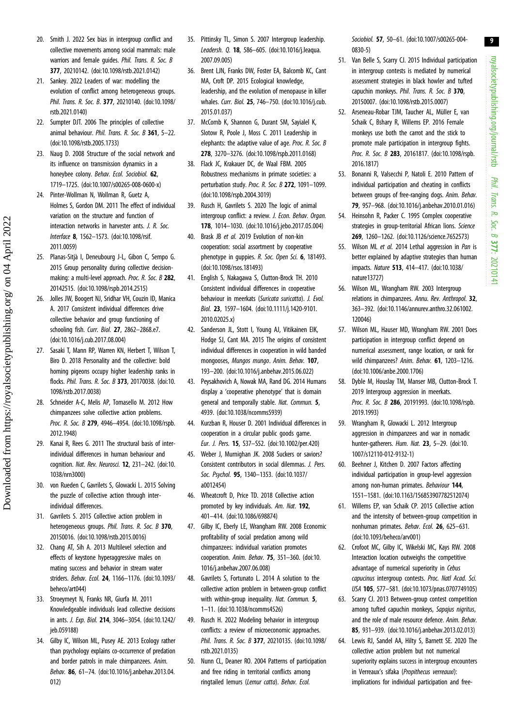- <span id="page-8-0"></span>20. Smith J. 2022 Sex bias in intergroup conflict and collective movements among social mammals: male warriors and female guides. Phil. Trans. R. Soc. B 377, 20210142. ([doi:10.1098/rstb.2021.0142](http://dx.doi.org/10.1098/rstb.2021.0142))
- 21. Sankey. 2022 Leaders of war: modelling the evolution of conflict among heterogeneous groups. Phil. Trans. R. Soc. B. 377, 20210140. ([doi:10.1098/](http://dx.doi.org/10.1098/rstb.2021.0140) [rstb.2021.0140\)](http://dx.doi.org/10.1098/rstb.2021.0140)
- 22. Sumpter DJT. 2006 The principles of collective animal behaviour. Phil. Trans. R. Soc. B 361, 5-22. [\(doi:10.1098/rstb.2005.1733\)](http://dx.doi.org/10.1098/rstb.2005.1733)
- 23. Naug D. 2008 Structure of the social network and its influence on transmission dynamics in a honeybee colony. Behav. Ecol. Sociobiol. 62, 1719–1725. [\(doi:10.1007/s00265-008-0600-x](http://dx.doi.org/10.1007/s00265-008-0600-x))
- 24. Pinter-Wollman N, Wollman R, Guetz A, Holmes S, Gordon DM. 2011 The effect of individual variation on the structure and function of interaction networks in harvester ants. J. R. Soc. Interface 8, 1562–1573. [\(doi:10.1098/rsif.](http://dx.doi.org/10.1098/rsif.2011.0059) [2011.0059\)](http://dx.doi.org/10.1098/rsif.2011.0059)
- 25. Planas-Sitjà I, Deneubourg J-L, Gibon C, Sempo G. 2015 Group personality during collective decisionmaking: a multi-level approach. Proc. R. Soc. B 282, 20142515. ([doi:10.1098/rspb.2014.2515\)](http://dx.doi.org/10.1098/rspb.2014.2515)
- 26. Jolles JW, Boogert NJ, Sridhar VH, Couzin ID, Manica A. 2017 Consistent individual differences drive collective behavior and group functioning of schooling fish. Curr. Biol. 27, 2862–2868.e7. [\(doi:10.1016/j.cub.2017.08.004](http://dx.doi.org/10.1016/j.cub.2017.08.004))
- 27. Sasaki T, Mann RP, Warren KN, Herbert T, Wilson T, Biro D. 2018 Personality and the collective: bold homing pigeons occupy higher leadership ranks in flocks. Phil. Trans. R. Soc. B 373, 20170038. ([doi:10.](http://dx.doi.org/10.1098/rstb.2017.0038) [1098/rstb.2017.0038\)](http://dx.doi.org/10.1098/rstb.2017.0038)
- 28. Schneider A-C, Melis AP, Tomasello M. 2012 How chimpanzees solve collective action problems. Proc. R. Soc. B 279, 4946-4954. [\(doi:10.1098/rspb.](http://dx.doi.org/10.1098/rspb.2012.1948) [2012.1948\)](http://dx.doi.org/10.1098/rspb.2012.1948)
- 29. Kanai R, Rees G. 2011 The structural basis of interindividual differences in human behaviour and cognition. Nat. Rev. Neurosci. 12, 231-242. ([doi:10.](http://dx.doi.org/10.1038/nrn3000) [1038/nrn3000\)](http://dx.doi.org/10.1038/nrn3000)
- 30. von Rueden C, Gavrilets S, Glowacki L. 2015 Solving the puzzle of collective action through interindividual differences.
- 31. Gavrilets S. 2015 Collective action problem in heterogeneous groups. Phil. Trans. R. Soc. B 370. 20150016. ([doi:10.1098/rstb.2015.0016](http://dx.doi.org/10.1098/rstb.2015.0016))
- 32. Chang AT, Sih A. 2013 Multilevel selection and effects of keystone hyperaggressive males on mating success and behavior in stream water striders. Behav. Ecol. 24, 1166–1176. ([doi:10.1093/](http://dx.doi.org/10.1093/beheco/art044) [beheco/art044\)](http://dx.doi.org/10.1093/beheco/art044)
- 33. Stroeymeyt N, Franks NR, Giurfa M. 2011 Knowledgeable individuals lead collective decisions in ants. J. Exp. Biol. 214, 3046–3054. ([doi:10.1242/](http://dx.doi.org/10.1242/jeb.059188) [jeb.059188](http://dx.doi.org/10.1242/jeb.059188))
- 34. Gilby IC, Wilson ML, Pusey AE. 2013 Ecology rather than psychology explains co-occurrence of predation and border patrols in male chimpanzees. Anim. Behav. 86, 61–74. [\(doi:10.1016/j.anbehav.2013.04.](http://dx.doi.org/10.1016/j.anbehav.2013.04.012) [012](http://dx.doi.org/10.1016/j.anbehav.2013.04.012))
- 35. Pittinsky TL, Simon S. 2007 Intergroup leadership. Leadersh. Q. 18, 586–605. ([doi:10.1016/j.leaqua.](http://dx.doi.org/10.1016/j.leaqua.2007.09.005) [2007.09.005\)](http://dx.doi.org/10.1016/j.leaqua.2007.09.005)
- 36. Brent LJN, Franks DW, Foster EA, Balcomb KC, Cant MA, Croft DP. 2015 Ecological knowledge, leadership, and the evolution of menopause in killer whales. Curr. Biol. 25, 746–750. ([doi:10.1016/j.cub.](http://dx.doi.org/10.1016/j.cub.2015.01.037) [2015.01.037\)](http://dx.doi.org/10.1016/j.cub.2015.01.037)
- 37. McComb K, Shannon G, Durant SM, Sayialel K, Slotow R, Poole J, Moss C. 2011 Leadership in elephants: the adaptive value of age. Proc. R. Soc. B 278, 3270–3276. [\(doi:10.1098/rspb.2011.0168\)](http://dx.doi.org/10.1098/rspb.2011.0168)
- 38. Flack JC, Krakauer DC, de Waal FBM. 2005 Robustness mechanisms in primate societies: a perturbation study. Proc. R. Soc. B 272, 1091-1099. [\(doi:10.1098/rspb.2004.3019\)](http://dx.doi.org/10.1098/rspb.2004.3019)
- 39. Rusch H, Gavrilets S. 2020 The logic of animal intergroup conflict: a review. J. Econ. Behav. Organ. 178, 1014–1030. [\(doi:10.1016/j.jebo.2017.05.004](http://dx.doi.org/10.1016/j.jebo.2017.05.004))
- 40. Brask JB et al. 2019 Evolution of non-kin cooperation: social assortment by cooperative phenotype in quppies. R. Soc. Open Sci. 6, 181493. [\(doi:10.1098/rsos.181493](http://dx.doi.org/10.1098/rsos.181493))
- 41. English S, Nakagawa S, Clutton-Brock TH. 2010 Consistent individual differences in cooperative behaviour in meerkats (Suricata suricatta). J. Evol. Biol. 23, 1597–1604. [\(doi:10.1111/j.1420-9101.](https://doi.org/10.1111/j.1420-9101.2010.02025.x) [2010.02025.x\)](https://doi.org/10.1111/j.1420-9101.2010.02025.x)
- 42. Sanderson JL, Stott I, Young AJ, Vitikainen EIK, Hodge SJ, Cant MA. 2015 The origins of consistent individual differences in cooperation in wild banded mongooses, Mungos mungo. Anim. Behav. 107, 193–200. ([doi:10.1016/j.anbehav.2015.06.022](http://dx.doi.org/10.1016/j.anbehav.2015.06.022))
- 43. Peysakhovich A, Nowak MA, Rand DG. 2014 Humans display a 'cooperative phenotype' that is domain general and temporally stable. Nat. Commun. 5, 4939. [\(doi:10.1038/ncomms5939\)](http://dx.doi.org/10.1038/ncomms5939)
- 44. Kurzban R, Houser D. 2001 Individual differences in cooperation in a circular public goods game. Eur. J. Pers. 15, S37–S52. ([doi:10.1002/per.420\)](http://dx.doi.org/10.1002/per.420)
- 45. Weber J, Murnighan JK. 2008 Suckers or saviors? Consistent contributors in social dilemmas. J. Pers. Soc. Psychol. 95, 1340–1353. [\(doi:10.1037/](http://dx.doi.org/10.1037/a0012454) [a0012454\)](http://dx.doi.org/10.1037/a0012454)
- 46. Wheatcroft D, Price TD. 2018 Collective action promoted by key individuals. Am. Nat. 192, 401–414. ([doi:10.1086/698874](http://dx.doi.org/10.1086/698874))
- 47. Gilby IC, Eberly LE, Wrangham RW. 2008 Economic profitability of social predation among wild chimpanzees: individual variation promotes cooperation. Anim. Behav. 75, 351–360. [\(doi:10.](http://dx.doi.org/10.1016/j.anbehav.2007.06.008) [1016/j.anbehav.2007.06.008\)](http://dx.doi.org/10.1016/j.anbehav.2007.06.008)
- 48. Gavrilets S, Fortunato L. 2014 A solution to the collective action problem in between-group conflict with within-group inequality. Nat. Commun. 5, 1–11. [\(doi:10.1038/ncomms4526\)](http://dx.doi.org/10.1038/ncomms4526)
- 49. Rusch H. 2022 Modeling behavior in intergroup conflicts: a review of microeconomic approaches. Phil. Trans. R. Soc. B 377, 20210135. [\(doi:10.1098/](https://doi.org/10.1098/rstb.2021.0135) [rstb.2021.0135\)](https://doi.org/10.1098/rstb.2021.0135)
- 50. Nunn CL, Deaner RO. 2004 Patterns of participation and free riding in territorial conflicts among ringtailed lemurs (Lemur catta). Behav. Ecol.

Sociobiol. 57, 50–61. [\(doi:10.1007/s00265-004-](https://doi.org/10.1007/s00265-004-0830-5) [0830-5](https://doi.org/10.1007/s00265-004-0830-5))

- 51. Van Belle S, Scarry CJ. 2015 Individual participation in intergroup contests is mediated by numerical assessment strategies in black howler and tufted capuchin monkeys. Phil. Trans. R. Soc. B 370, 20150007. ([doi:10.1098/rstb.2015.0007\)](http://dx.doi.org/10.1098/rstb.2015.0007)
- 52. Arseneau-Robar TJM, Taucher AL, Müller E, van Schaik C, Bshary R, Willems EP. 2016 Female monkeys use both the carrot and the stick to promote male participation in intergroup fights. Proc. R. Soc. B 283, 20161817. ([doi:10.1098/rspb.](http://dx.doi.org/10.1098/rspb.2016.1817) [2016.1817](http://dx.doi.org/10.1098/rspb.2016.1817))
- 53. Bonanni R, Valsecchi P, Natoli E. 2010 Pattern of individual participation and cheating in conflicts between groups of free-ranging dogs. Anim. Behav. 79, 957–968. ([doi:10.1016/j.anbehav.2010.01.016](http://dx.doi.org/10.1016/j.anbehav.2010.01.016))
- 54. Heinsohn R, Packer C. 1995 Complex cooperative strategies in group-territorial African lions. Science 269, 1260–1262. [\(doi:10.1126/science.7652573](http://dx.doi.org/10.1126/science.7652573))
- 55. Wilson ML et al. 2014 Lethal aggression in Pan is better explained by adaptive strategies than human impacts. Nature 513, 414–417. ([doi:10.1038/](https://doi.org/10.1038/nature13727) [nature13727](https://doi.org/10.1038/nature13727))
- 56. Wilson ML, Wrangham RW. 2003 Intergroup relations in chimpanzees. Annu. Rev. Anthropol. 32. 363–392. [\(doi:10.1146/annurev.anthro.32.061002.](http://dx.doi.org/10.1146/annurev.anthro.32.061002.120046) [120046\)](http://dx.doi.org/10.1146/annurev.anthro.32.061002.120046)
- 57. Wilson ML, Hauser MD, Wrangham RW. 2001 Does participation in intergroup conflict depend on numerical assessment, range location, or rank for wild chimpanzees? Anim. Behav. 61, 1203–1216. ([doi:10.1006/anbe.2000.1706](http://dx.doi.org/10.1006/anbe.2000.1706))
- 58. Dyble M, Houslay TM, Manser MB, Clutton-Brock T. 2019 Intergroup aggression in meerkats. Proc. R. Soc. B 286, 20191993. ([doi:10.1098/rspb.](http://dx.doi.org/10.1098/rspb.2019.1993) [2019.1993](http://dx.doi.org/10.1098/rspb.2019.1993))
- 59. Wrangham R, Glowacki L. 2012 Intergroup aggression in chimpanzees and war in nomadic hunter-gatherers. Hum. Nat. 23, 5-29. ([doi:10.](http://dx.doi.org/10.1007/s12110-012-9132-1) [1007/s12110-012-9132-1](http://dx.doi.org/10.1007/s12110-012-9132-1))
- 60. Beehner J, Kitchen D. 2007 Factors affecting individual participation in group-level aggression among non-human primates. Behaviour 144, 1551–1581. [\(doi:10.1163/156853907782512074](http://dx.doi.org/10.1163/156853907782512074))
- 61. Willems EP, van Schaik CP. 2015 Collective action and the intensity of between-group competition in nonhuman primates. Behav. Ecol. 26, 625–631. ([doi:10.1093/beheco/arv001\)](http://dx.doi.org/10.1093/beheco/arv001)
- 62. Crofoot MC, Gilby IC, Wikelski MC, Kays RW. 2008 Interaction location outweighs the competitive advantage of numerical superiority in Cebus capucinus intergroup contests. Proc. Natl Acad. Sci. USA 105, 577–581. ([doi:10.1073/pnas.0707749105](https://doi.org/10.1073/pnas.0707749105))
- 63. Scarry CJ. 2013 Between-group contest competition among tufted capuchin monkeys, Sapajus nigritus, and the role of male resource defence. Anim. Behav. 85, 931–939. ([doi:10.1016/j.anbehav.2013.02.013](https://doi.org/10.1016/j.anbehav.2013.02.013))
- 64. Lewis RJ, Sandel AA, Hilty S, Barnett SE. 2020 The collective action problem but not numerical superiority explains success in intergroup encounters in Verreaux's sifaka (Propithecus verreauxi): implications for individual participation and free-